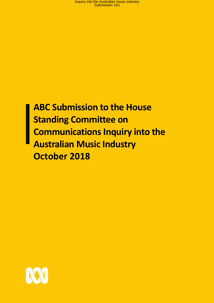# **ABC Submission to the House Standing Committee on Communications Inquiry into the Australian Music Industry October 2018**

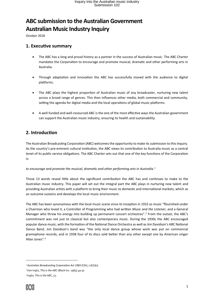# **ABC submission to the Australian Government Australian Music Industry Inquiry**

October 2018

### **1. Executive summary**

- The ABC has a long and proud history as a partner in the success of Australian music. The ABC Charter mandates the Corporation to encourage and promote musical, dramatic and other performing arts in Australia.
- Through adaptation and innovation the ABC has successfully moved with the audience to digital platforms.
- The ABC plays the highest proportion of Australian music of any broadcaster, nurturing new talent across a broad range of genres. This then influences other media, both commercial and community, setting the agenda for digital media and the local operations of global music platforms.
- A well-funded and well-resourced ABC is the one of the most effective ways the Australian government can support the Australian music industry, ensuring its health and sustainability.

### **2. Introduction**

The Australian Broadcasting Corporation (ABC) welcomes the opportunity to make its submission to this Inquiry. As the country's pre-eminent cultural institution, the ABC views its contribution to Australia music as a central tenet of its public service obligations. The ABC Charter sets out that one of the key functions of the Corporation is:

#### *to encourage and promote the musical, dramatic and other performing arts in Australia.<sup>1</sup>*

Those 13 words reveal little about the significant contribution the ABC has and continues to make to the Australian music industry. This paper will set out the integral part the ABC plays in nurturing new talent and providing Australian artists with a platform to bring their music to domestic and international markets, which as an outcome sustains and develops the local music environment.

The ABC has been synonymous with the local music scene since its inception in 1932 as music "flourished under a Chairman who loved it, a Controller of Programming who had written *Music and the Listener*, and a General Manager who threw his energy into building up permanent concert orchestras".<sup>2</sup> From the outset, the ABC's commitment was not just to classical but also contemporary music. During the 1930s the ABC encouraged popular dance music, with the formation of the National Dance Orchestra as well as Jim Davidson's ABC National Dance Band. Jim Davidson's band was "the only local dance group whose work was put on commercial gramophone records, and in 1938 four of its discs sold better than any other except one by American singer Allan Jones".<sup>3</sup>

<sup>1</sup> *Australian Broadcasting Corporation Act 1983* (Cth), s.6(1)(c).

<sup>2</sup> Ken Inglis, *This is the ABC* (Black Inc. 1983) 49-50

<sup>3</sup> Inglis, *This is the ABC*, 52.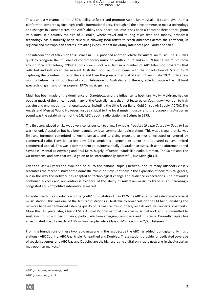This is an early example of the ABC's ability to foster and promote Australian musical artists and give them a platform to compete against high-profile international acts. Through all the developments in media technology and changes in listener tastes, the ABC's ability to support local music has been a constant thread throughout its history. In a country the size of Australia, where travel and touring takes time and money, broadcast technology has historically been crucial in allowing local artists to reach audiences across the continent, in regional and metropolitan centres, providing exposure that inevitably influences popularity and sales.

The introduction of television to Australia in 1956 provided another vehicle for Australian music. The ABC was quick to recognise the influence of contemporary music on youth culture and in 1959 built a live music show around local star Johnny O'Keefe. *Six O'Clock Rock* was first in a number of ABC television programs that reflected and influenced the nascent Australian popular music scene, with the introduction of *GTK* in 1969 capturing the counterculture of the era and then the prescient arrival of *Countdown* in late 1974, only a few months before the introduction of colour television to Australia, and thereby able to capture the full lurid spectacle of glam and other popular 1970s music genres.

Much has been made of the dominance of *Countdown* and the influence its host, Ian 'Molly' Meldrum, had on popular music of the time. Indeed, many of the Australian acts that first featured on *Countdown* went on to high acclaim and enormous international success, including the Little River Band, Cold Chisel, Air Supply, AC/DC, The Angels and Men at Work. However, just as critical to the local music industry and the burgeoning Australian sound was the establishment of the 2JJ, ABC's youth radio station, in Sydney in 1975.

The first song played on 2JJ was a very conscious call to arms. Skyhooks' *You Just Like Me Cause I'm Good in Bed* was not only Australian but had been banned by local commercial radio stations. This was a signal that 2JJ was first and foremost committed to Australian acts and to giving exposure to music neglected or ignored by commercial radio. From its earliest days 2JJ championed independent talent that appeared to have limited commercial appeal. This was a commitment to quintessentially Australian artists such as the aforementioned Skyhooks, Mental as Anything and Paul Kelly, hugely influential bands like Radio Birdman, The Saints and The Go-Betweens, and acts that would go on to be internationally successful, like Midnight Oil.

Over the last 43 years the evolution of 2JJ to the national triple j network and its many offshoots closely resembles the recent history of the domestic music industry - not only in the expansion of new musical genres, but in the way the network has adapted to technological change and audience expectations. The network's continued success and reinvention is evidence of the ability of Australian music to thrive in an increasingly congested and competitive international market.

In tandem with the introduction of the 'youth' music station 2JJ, in 1976 the ABC established a dedicated classical music station. This was one of the first radio stations in Australia to broadcast on the FM band, enabling the network to deliver enhanced listening quality of its classical music, opera, recitals and live concerts broadcasts. More than 40 years later, Classic FM is Australia's only national classical music network and is committed to Australian music and performance, particularly from emerging composers and musicians. Currently triple j has an estimated five city reach of 1.85 million people, while Classic FM's reach is 762,000 listeners.<sup>4</sup>

From the foundations of these two radio networks in the last decade the ABC has added four digital-only music stations - ABC Country, ABC Jazz, triple j Unearthed and Double J. These stations provide for dedicated coverage of specialist genres, and ABC Jazz and Double J are the highest rating digital-only radio networksin the Australian metropolitan markets. 5

<sup>5</sup> GfK 5 city survey 5, 2018.



<sup>4</sup> GfK 5 city survey 1-5 average, 2018.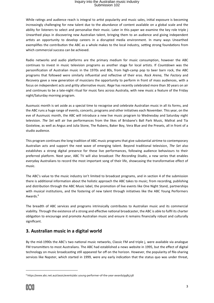While ratings and audience reach is integral to artist popularity and music sales, initial exposure is becoming increasingly challenging for new talent due to the abundance of content available on a global scale and the ability for listeners to select and personalise their music. Later in this paper we examine the key role triple j Unearthed plays in discovering new Australian talent, bringing them to an audience and giving independent artists an opportunity to develop careers in a disrupted media environment. In many ways Unearthed exemplifies the contribution the ABC as a whole makes to the local industry, setting strong foundations from which commercial success can be achieved.

Radio networks and audio platforms are the primary medium for music consumption, however the ABC continues to invest in music television programs as another stage for local artists. If *Countdown* was the personification of Australian music in the 1970s and 80s, from high-camp pop to beer barn rock, the ABC programs that followed were similarly influential and reflective of their eras. *Rock Arena*, *The Factory* and *Recovery* gave a new generation of musicians the opportunity to perform in front of mass audiences, with a focus on independent acts and gritty alternative music. *Rage* has recently celebrated more than 30 years on air and continues to be a late-night ritual for music fans across Australia, with new music a feature of the Friday night/Saturday morning program.

Ausmusic month is set aside as a special time to recognise and celebrate Australian music in all its forms, and the ABC runs a huge range of events, concerts, programs and other initiatives each November. This year, on the eve of Ausmusic month, the ABC will introduce a new live music program to Wednesday and Saturday night television. *The Set* will air live performances from the likes of Brisbane's Ball Park Music, Mallrat and Tia Gostelow, as well as Angus and Julia Stone, The Rubens, Baker Boy, Vera Blue and the Presets, all in front of a studio audience.

This program continues the long tradition of ABC music programs that give substantial airtime to contemporary Australian acts and support the next wave of emerging talent. Beyond traditional television, *The Set* also establishes a strong digital presence for these live performances, following audience behaviours to their preferred platform. Next year, ABC TV will also broadcast *The Recording Studio*, a new series that enables everyday Australians to record the most important song of their life, showcasing the transformative effect of music.

The ABC's value to the music industry isn't limited to broadcast programs, and in section 4 of the submission there is additional information about the holistic approach the ABC takes to music; from recording, publishing and distribution through the ABC Music label, the promotion of live events like One Night Stand, partnerships with musical institutions, and the fostering of new talent through initiatives like the ABC Young Performers Awards. 6

The breadth of ABC services and programs intrinsically contributes to Australian music and its commercial viability. Through the existence of a strong and effective national broadcaster, the ABC is able to fulfil its charter obligation to encourage and promote Australian music and ensure it remains financially robust and culturally significant.

### **3. Australian music in a digital world**

By the mid-1990s the ABC's two national music networks, Classic FM and triple j, were available via analogue FM transmitters to most Australians. The ABC had established a news website in 1995, but the effect of digital technology on music broadcasting still appeared far off on the horizon. However, the popularity of file-sharing services like Napster, which started in 1999, were any early indication that the status quo was under threat,

<sup>6</sup> https://www.abc.net.au/classic/events/abc-young-performer-of-the-year-awards/9985738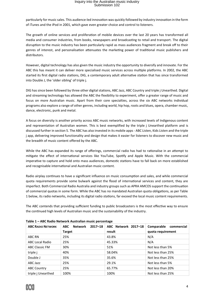particularly for music sales. This audience-led innovation was quickly followed by industry innovation in the form of iTunes and the iPod in 2001, which gave even greater choice and control to listeners.

The growth of online services and proliferation of mobile devices over the last 20 years has transformed all media and consumer industries, from books, newspapers and broadcasting to retail and transport. The digital disruption to the music industry has been particularly rapid as mass audiences fragment and break off to their genres of interest, and personalisation attenuates the marketing power of traditional music publishers and distributors.

However, digital technology has also given the music industry the opportunity to diversify and innovate. For the ABC this has meant it can deliver more specialised music services across multiple platforms. In 2002, the ABC started its first digital radio stations, DIG, a contemporary adult alternative station that has since transformed into Double J, the 'older sibling' of triple j.

DIG has since been followed by three other digital stations, ABC Jazz, ABC Country and triple j Unearthed. Digital and streaming technology has allowed the ABC the flexibility to experiment, offer a greater range of music and focus on more Australian music. Apart from their core specialties, across the six ABC networks individual programs also explore a range of other genres, including world, hip hop, roots and blues, opera, chamber music, dance, electronic, punk and metal.

A focus on diversity is another priority across ABC music networks, with increased levels of Indigenous content and representation of Australian women. This is best exemplified by the triple j Unearthed platform and is discussed further in section 5. The ABC has also invested in its mobile apps - ABC Listen, Kids Listen and the triple j app, delivering improved functionality and design that makes it easier for listeners to discover new music and the breadth of music content offered by the ABC.

While the ABC has expanded its range of offerings, commercial radio has had to rationalise in an attempt to mitigate the effect of international services like YouTube, Spotify and Apple Music. With the commercial imperative to capture and hold onto mass audiences, domestic stations have to fall back on more established and recognisable international and Australian music content.

Radio airplay continues to have a significant influence on music consumption and sales, and while commercial quota requirements provide some bulwark against the flood of international services and content, they are imperfect. Both Commercial Radio Australia and industry groups such as APRA AMCOS support the continuation of commercial quotas in some form. While the ABC has no mandated Australian quota obligations, as per Table 1 below, its radio networks, including its digital radio stations, far exceed the local music content requirements.

The ABC contends that providing sufficient funding to public broadcasters is the most effective way to ensure the continued high levels of Australian music and the sustainability of the industry.

| <b>ABC RADIO NETWORK</b> | <b>Network</b><br>$2017 - 18$<br><b>ABC</b><br><b>Target</b> | ABC Network 2017-18<br>result | Comparable commercial<br>quota requirement |
|--------------------------|--------------------------------------------------------------|-------------------------------|--------------------------------------------|
| ABC RN                   | 25%                                                          | 43.8%                         | N/A                                        |
| <b>ABC Local Radio</b>   | 25%                                                          | 45.33%                        | N/A                                        |
| <b>ABC Classic FM</b>    | 30%                                                          | 51%                           | Not less than 5%                           |
| triple j                 | 40%                                                          | 58.04%                        | Not less than 25%                          |
| Double J                 | 35%                                                          | 35.6%                         | Not less than 25%                          |
| ABC Jazz                 | 25%                                                          | 29.1%                         | Not less than 5%                           |
| <b>ABC Country</b>       | 25%                                                          | 65.77%                        | Not less than 20%                          |
| triple i Unearthed       | 100%                                                         | 100%                          | Not less than 25%                          |

**Table 1 – ABC Radio Network Australian music percentage**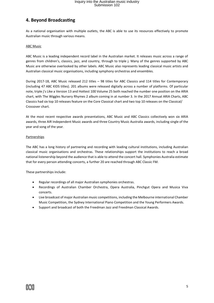### **4. Beyond Broadcasting**

As a national organisation with multiple outlets, the ABC is able to use its resources effectively to promote Australian music through various means.

#### ABC Music

ABC Music is a leading independent record label in the Australian market. It releases music across a range of genres from children's, classics, jazz, and country, through to triple j. Many of the genres supported by ABC Music are otherwise overlooked by other labels. ABC Music also represents leading classical music artists and Australian classical music organisations, including symphony orchestras and ensembles.

During 2017-18, ABC Music released 212 titles – 98 titles for ABC Classics and 114 titles for Contemporary (including 47 ABC KIDS titles). 201 albums were released digitally across a number of platforms. Of particular note, triple j's Like a Version 13 and Hottest 100 Volume 25 both reached the number one position on the ARIA chart, with The Wiggles Nursery Rhymes 2 album coming in at number 3. In the 2017 Annual ARIA Charts, ABC Classics had six top 10 releases feature on the Core Classical chart and two top 10 releases on the Classical/ Crossover chart.

At the most recent respective awards presentations, ABC Music and ABC Classics collectively won six ARIA awards, three AIR Independent Music awards and three Country Music Australia awards, including single of the year and song of the year.

#### **Partnerships**

The ABC has a long history of partnering and recording with leading cultural institutions, including Australian classical music organisations and orchestras. These relationships support the institutions to reach a broad national listenership beyond the audience that is able to attend the concert hall. Symphonies Australia estimate that for every person attending concerts, a further 20 are reached through ABC Classic FM.

These partnerships include:

- Regular recordings of all major Australian symphonies orchestras.
- Recordings of Australian Chamber Orchestra, Opera Australia, Pinchgut Opera and Musica Viva concerts.
- Live broadcast of major Australian music competitions, including the Melbourne international Chamber Music Competition, the Sydney International Piano Competition and the Young Performers Awards.
- Support and broadcast of both the Freedman Jazz and Freedman Classical Awards.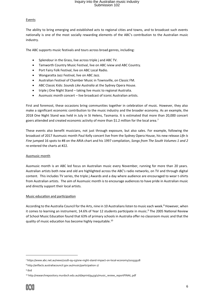#### **Events**

The ability to bring emerging and established acts to regional cities and towns, and to broadcast such events nationally is one of the most socially rewarding elements of the ABC's contribution to the Australian music industry.

The ABC supports music festivals and tours across broad genres, including:

- Splendour in the Grass, live across triple j and ABC TV.
- Tamworth Country Music Festival, live on ABC iview and ABC Country.
- Port Fairy Folk Festival, live on ABC Local Radio.
- Wangaratta Jazz Festival, live on ABC Jazz.
- Australian Festival of Chamber Music in Townsville, on Classic FM.
- ABC Classic Kids: *Sounds Like Australia* at the Sydney Opera House.
- triple j One Night Stand taking live music to regional Australia.
- Ausmusic month concert live broadcast of iconic Australian artists.

First and foremost, these occasions bring communities together in celebration of music. However, they also make a significant economic contribution to the music industry and the broader economy. As an example, the 2018 One Night Stand was held in July in St Helens, Tasmania. It is estimated that more than 20,000 concert goers attended and created economic activity of more than \$1.2 million for the local area.<sup>7</sup>

These events also benefit musicians, not just through exposure, but also sales. For example, following the broadcast of 2017 Ausmusic month Paul Kelly concert live from the Sydney Opera House, his new release *Life Is Fine* jumped 16 spots to #8 on the ARIA chart and his 1997 compilation, *Songs from The South Volumes 1 and 2* re-entered the charts at #22.

#### Ausmusic month

Ausmusic month is an ABC led focus on Australian music every November, running for more than 20 years. Australian artists both new and old are highlighted across the ABC's radio networks, on TV and through digital content. This includes TV series, the triple j Awards and a day where audience are encouraged to wear t-shirts from Australian artists. The aim of Ausmusic month is to encourage audiences to have pride in Australian music and directly support their local artists.

#### Music education and participation

According to the Australia Council for the Arts, nine in 10 Australians listen to music each week.<sup>8</sup> However, when it comes to learning an instrument, 14.6% of Year 12 students participate in music.<sup>9</sup> The 2005 National Review of School Music Education found that 63% of primary schools in Australia offer no classroom music and that the quality of music education has become highly inequitable.<sup>10</sup>

<sup>7</sup> https://www.abc.net.au/news/2018-09-03/one-night-stand-impact-on-local-economy/10193928

<sup>8</sup> http://artfacts.australiacouncil.gov.au/music/participation-7/

<sup>9</sup> ibid

<sup>10</sup> http://researchrepository.murdoch.edu.au/id/eprint/9459/1/music\_review\_reportFINAL.pdf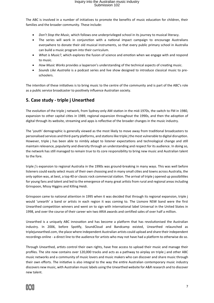The ABC is involved in a number of initiatives to promote the benefits of music education for children, their families and the broader community. These include:

- *Don't Stop the Music*, which follows one underprivileged school in its journey to musical literacy.
- The series will work in conjunction with a national impact campaign to encourage Australians everywhere to donate their old musical instruments, so that every public primary school in Australia can build a music program into their curriculum.
- *What is Music?*, which explores the fusion of science and emotion when we engage with and respond to music.
- *How Music Works* provides a layperson's understanding of the technical aspects of creating music.
- *Sounds Like Australia* is a podcast series and live show designed to introduce classical music to preschoolers.

The intention of these initiatives is to bring music to the centre of the community and is part of the ABC's role as a public service broadcaster to positively influence Australian society.

### **5. Case study - triple j Unearthed**

The evolution of the triple j network, from Sydney-only AM station in the mid-1970s, the switch to FM in 1980, expansion to other capital cities in 1989, regional expansion throughout the 1990s, and then the adoption of digital through its website, streaming and apps is reflective of the broader changes in the music industry.

The 'youth' demographic is generally viewed as the most likely to move away from traditional broadcasters to personalised services and third-party platforms, and stations like triple j the most vulnerable to digital disruption. However, triple j has been able to nimbly adapt to listener expectations and technological change and still maintain relevance, popularity and diversity through an understanding and respect for its audience. In doing so, the network has still managed to remain true to its core responsibility to bring new music and Australian talent to the fore.

triple j's expansion to regional Australia in the 1990s was ground-breaking in many ways. This was well before listeners could easily select music of their own choosing and in many small cities and towns across Australia, the only option was, at best, a top 40 or classic rock commercial station. The arrival of triple j opened up possibilities for young fans and talent and led to the emergence of many great artists from rural and regional areas including Grinspoon, Missy Higgins and Killing Heidi.

Grinspoon came to national attention in 1995 when it was decided that through its regional expansion, triple j would 'unearth' a band or artists in each region it was coming to. The Lismore NSW band were the first Unearthed competition winners and went on to sign with international label Universal in the United States in 1998, and over the course of their career win two ARIA awards and certified sales of over half a million.

Unearthed is a uniquely ABC innovation and has become a platform that has revolutionised the Australian industry. In 2006, before Spotify, SoundCloud and Bandcamp existed, Unearthed relaunched as triplejunearthed.com, the place where independent Australian artists could upload and share their independent recordings online - a direct line to the audience for artists who may not have had a platform to otherwise do so.

Through Unearthed, artists control their own rights, have free access to upload their music and manage their profiles. The site now contains over 120,000 tracks and acts as a pathway to airplay on triple j and other ABC music networks and a community of music lovers and music makers who can discover and share music through their own efforts. The initiative is also integral to the way the entire Australian contemporary music industry discovers new music, with Australian music labels using the Unearthed website for A&R research and to discover new talent.

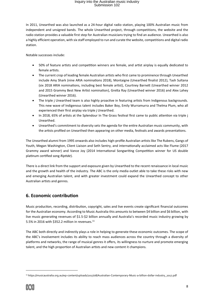In 2011, Unearthed was also launched as a 24-hour digital radio station, playing 100% Australian music from independent and unsigned bands. The whole Unearthed project, through competitions, the website and the radio station provides a valuable first step for Australian musicians trying to find an audience. Unearthed is also a highly efficient operation, with six staff employed to run and curate the website, competitions and digital radio station.

Notable successes include:

- 50% of feature artists and competition winners are female, and artist airplay is equally dedicated to female artists.
- The current crop of leading female Australian artists who first came to prominence through Unearthed include Amy Shark (nine ARIA nominations 2018), Montaigne (Unearthed finalist 2012), Tash Sultana (six 2018 ARIA nominations, including best female artist), Courtney Barnett (Unearthed winner 2012 and 2015 Grammy Best New Artist nomination), Gretta Ray (Unearthed winner 2016) and Alex Lahey (Unearthed winner 2016).
- The triple j Unearthed team is also highly proactive in featuring artists from Indigenous backgrounds. This new wave of Indigenous talent includes Baker Boy, Emily Wurramurra and Thelma Plum, who all experienced their first airplay via triple j Unearthed.
- In 2018, 65% of artists at the Splendour In The Grass festival first came to public attention via triple j Unearthed.
- Unearthed's commitment to diversity sets the agenda for the entire Australian music community, with the artists profiled on Unearthed then appearing on other media, festivals and awards presentations.

The Unearthed alumni from 1995 onwards also includes high-profile Australian artists like The Rubens, Gangs of Youth, Megan Washington, Client Liaison and Seth Sentry, and internationally acclaimed acts like Flume (2017 Grammy award winner) and Vance Joy (2014 International Songwriting Competition winner for US double platinum certified song *Riptide*).

There is a direct link from the support and exposure given by Unearthed to the recent renaissance in local music and the growth and health of the industry. The ABC is the only media outlet able to take these risks with new and emerging Australian talent, and with greater investment could expand the Unearthed concept to other Australian artists and genres.

### **6. Economic contribution**

Music production, recording, distribution, copyright, sales and live events create significant financial outcomes for the Australian economy. According to Music Australia this amounts to between \$4 billion and \$6 billion, with live music generating revenues of \$1.5-\$2 billion annually and Australia's recorded music industry growing by 5.5% in 2016 with \$352.2 million in revenues. $11$ 

The ABC both directly and indirectly plays a role in helping to generate these economic outcomes. The scope of the ABC's involvement includes its ability to reach mass audiences across the country through a diversity of platforms and networks, the range of musical genres it offers, its willingness to nurture and promote emerging talent, and the high proportion of Australian artists and new content it champions.

<sup>11</sup> https://musicaustralia.org.au/wp-content/uploads/2017/08/Australian-Contemporary-Music-a-billion-dollar-industry\_2017.pdf